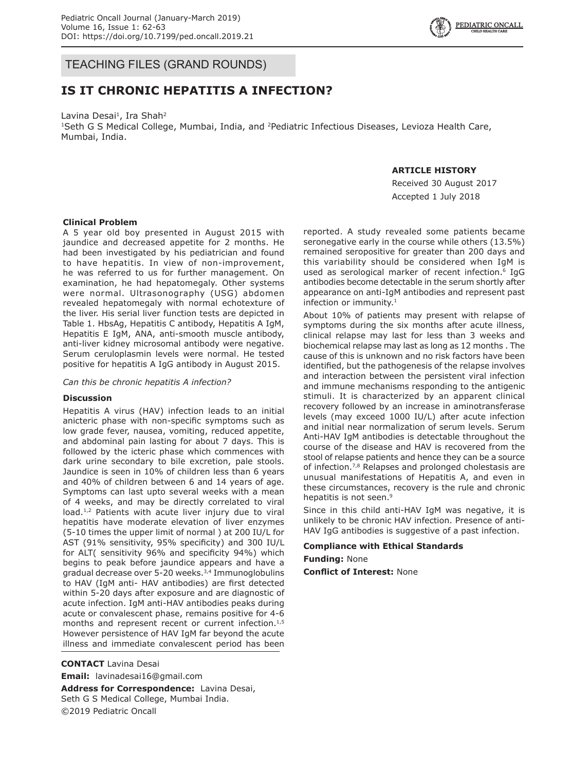TEACHING FILES (GRAND ROUNDS)

# **IS IT CHRONIC HEPATITIS A INFECTION?**

Lavina Desai<sup>1</sup>, Ira Shah<sup>2</sup> <sup>1</sup>Seth G S Medical College, Mumbai, India, and <sup>2</sup>Pediatric Infectious Diseases, Levioza Health Care, Mumbai, India.

### **ARTICLE HISTORY**

Received 30 August 2017 Accepted 1 July 2018

### **Clinical Problem**

A 5 year old boy presented in August 2015 with jaundice and decreased appetite for 2 months. He had been investigated by his pediatrician and found to have hepatitis. In view of non-improvement, he was referred to us for further management. On examination, he had hepatomegaly. Other systems were normal. Ultrasonography (USG) abdomen revealed hepatomegaly with normal echotexture of the liver. His serial liver function tests are depicted in Table 1. HbsAg, Hepatitis C antibody, Hepatitis A IgM, Hepatitis E IgM, ANA, anti-smooth muscle antibody, anti-liver kidney microsomal antibody were negative. Serum ceruloplasmin levels were normal. He tested positive for hepatitis A IgG antibody in August 2015.

*Can this be chronic hepatitis A infection?*

#### **Discussion**

Hepatitis A virus (HAV) infection leads to an initial anicteric phase with non-specific symptoms such as low grade fever, nausea, vomiting, reduced appetite, and abdominal pain lasting for about 7 days. This is followed by the icteric phase which commences with dark urine secondary to bile excretion, pale stools. Jaundice is seen in 10% of children less than 6 years and 40% of children between 6 and 14 years of age. Symptoms can last upto several weeks with a mean of 4 weeks, and may be directly correlated to viral load.<sup>1,2</sup> Patients with acute liver injury due to viral hepatitis have moderate elevation of liver enzymes (5-10 times the upper limit of normal ) at 200 IU/L for AST (91% sensitivity, 95% specificity) and 300 IU/L for ALT( sensitivity 96% and specificity 94%) which begins to peak before jaundice appears and have a gradual decrease over 5-20 weeks.3,4 Immunoglobulins to HAV (IgM anti- HAV antibodies) are first detected within 5-20 days after exposure and are diagnostic of acute infection. IgM anti-HAV antibodies peaks during acute or convalescent phase, remains positive for 4-6 months and represent recent or current infection.<sup>1,5</sup> However persistence of HAV IgM far beyond the acute illness and immediate convalescent period has been

**CONTACT** Lavina Desai **Email:** lavinadesai16@gmail.com

**Address for Correspondence:** Lavina Desai, Seth G S Medical College, Mumbai India. ©2019 Pediatric Oncall

reported. A study revealed some patients became seronegative early in the course while others (13.5%) remained seropositive for greater than 200 days and this variability should be considered when IgM is used as serological marker of recent infection.<sup>6</sup> IgG antibodies become detectable in the serum shortly after appearance on anti-IgM antibodies and represent past infection or immunity.<sup>1</sup>

About 10% of patients may present with relapse of symptoms during the six months after acute illness, clinical relapse may last for less than 3 weeks and biochemical relapse may last as long as 12 months . The cause of this is unknown and no risk factors have been identified, but the pathogenesis of the relapse involves and interaction between the persistent viral infection and immune mechanisms responding to the antigenic stimuli. It is characterized by an apparent clinical recovery followed by an increase in aminotransferase levels (may exceed 1000 IU/L) after acute infection and initial near normalization of serum levels. Serum Anti-HAV IgM antibodies is detectable throughout the course of the disease and HAV is recovered from the stool of relapse patients and hence they can be a source of infection.<sup>7,8</sup> Relapses and prolonged cholestasis are unusual manifestations of Hepatitis A, and even in these circumstances, recovery is the rule and chronic hepatitis is not seen.<sup>9</sup>

Since in this child anti-HAV IgM was negative, it is unlikely to be chronic HAV infection. Presence of anti-HAV IgG antibodies is suggestive of a past infection.

## **Compliance with Ethical Standards Funding:** None

**Conflict of Interest:** None